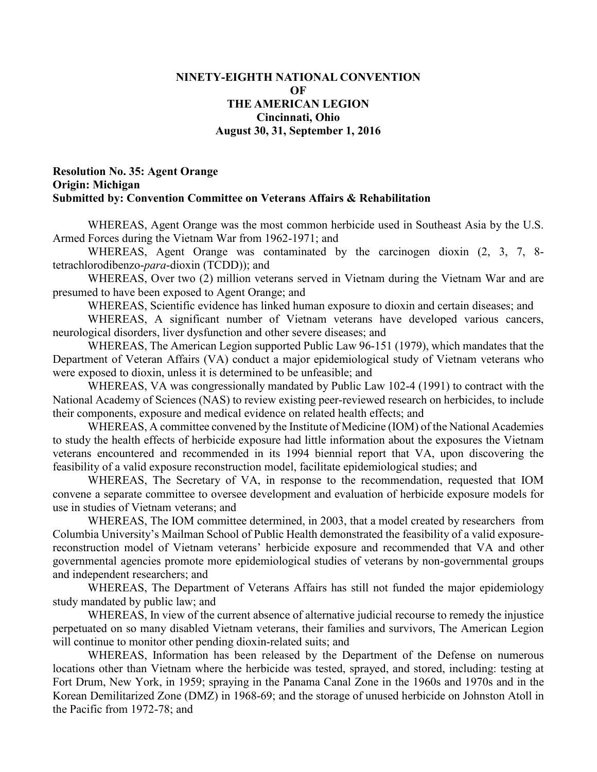## **NINETY-EIGHTH NATIONAL CONVENTION OF THE AMERICAN LEGION Cincinnati, Ohio August 30, 31, September 1, 2016**

## **Resolution No. 35: Agent Orange Origin: Michigan Submitted by: Convention Committee on Veterans Affairs & Rehabilitation**

WHEREAS, Agent Orange was the most common herbicide used in Southeast Asia by the U.S. Armed Forces during the Vietnam War from 1962-1971; and

WHEREAS, Agent Orange was contaminated by the carcinogen dioxin (2, 3, 7, 8 tetrachlorodibenzo-*para*-dioxin (TCDD)); and

WHEREAS, Over two (2) million veterans served in Vietnam during the Vietnam War and are presumed to have been exposed to Agent Orange; and

WHEREAS, Scientific evidence has linked human exposure to dioxin and certain diseases; and

WHEREAS, A significant number of Vietnam veterans have developed various cancers, neurological disorders, liver dysfunction and other severe diseases; and

WHEREAS, The American Legion supported Public Law 96-151 (1979), which mandates that the Department of Veteran Affairs (VA) conduct a major epidemiological study of Vietnam veterans who were exposed to dioxin, unless it is determined to be unfeasible; and

WHEREAS, VA was congressionally mandated by Public Law 102-4 (1991) to contract with the National Academy of Sciences (NAS) to review existing peer-reviewed research on herbicides, to include their components, exposure and medical evidence on related health effects; and

WHEREAS, A committee convened by the Institute of Medicine (IOM) of the National Academies to study the health effects of herbicide exposure had little information about the exposures the Vietnam veterans encountered and recommended in its 1994 biennial report that VA, upon discovering the feasibility of a valid exposure reconstruction model, facilitate epidemiological studies; and

WHEREAS, The Secretary of VA, in response to the recommendation, requested that IOM convene a separate committee to oversee development and evaluation of herbicide exposure models for use in studies of Vietnam veterans; and

WHEREAS, The IOM committee determined, in 2003, that a model created by researchers from Columbia University's Mailman School of Public Health demonstrated the feasibility of a valid exposurereconstruction model of Vietnam veterans' herbicide exposure and recommended that VA and other governmental agencies promote more epidemiological studies of veterans by non-governmental groups and independent researchers; and

WHEREAS, The Department of Veterans Affairs has still not funded the major epidemiology study mandated by public law; and

WHEREAS, In view of the current absence of alternative judicial recourse to remedy the injustice perpetuated on so many disabled Vietnam veterans, their families and survivors, The American Legion will continue to monitor other pending dioxin-related suits; and

WHEREAS, Information has been released by the Department of the Defense on numerous locations other than Vietnam where the herbicide was tested, sprayed, and stored, including: testing at Fort Drum, New York, in 1959; spraying in the Panama Canal Zone in the 1960s and 1970s and in the Korean Demilitarized Zone (DMZ) in 1968-69; and the storage of unused herbicide on Johnston Atoll in the Pacific from 1972-78; and